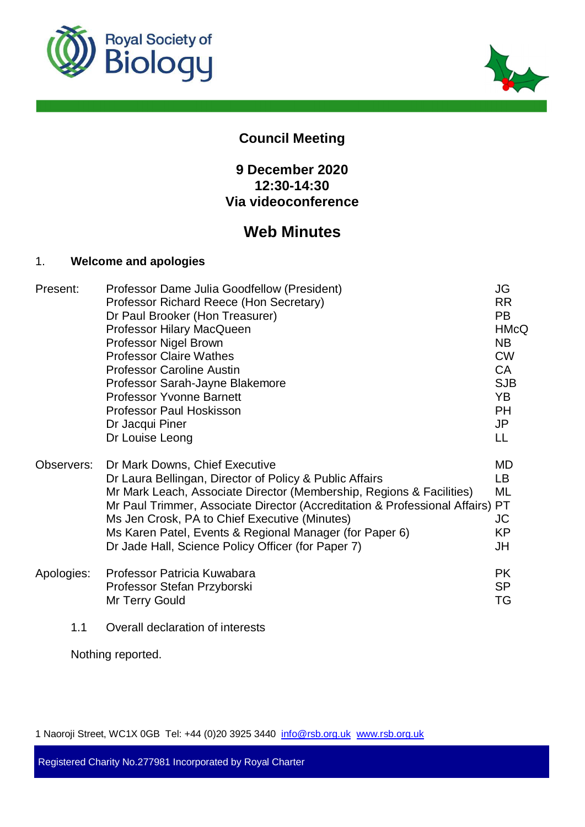



# **Council Meeting**

# **9 December 2020 12:30-14:30 Via videoconference**

# **Web Minutes**

# 1. **Welcome and apologies**

| Present:   | Professor Dame Julia Goodfellow (President)                                | JG          |
|------------|----------------------------------------------------------------------------|-------------|
|            | Professor Richard Reece (Hon Secretary)                                    | <b>RR</b>   |
|            | Dr Paul Brooker (Hon Treasurer)                                            | <b>PB</b>   |
|            | Professor Hilary MacQueen                                                  | <b>HMcQ</b> |
|            | Professor Nigel Brown                                                      | <b>NB</b>   |
|            | <b>Professor Claire Wathes</b>                                             | <b>CW</b>   |
|            | <b>Professor Caroline Austin</b>                                           | <b>CA</b>   |
|            | Professor Sarah-Jayne Blakemore                                            | <b>SJB</b>  |
|            | <b>Professor Yvonne Barnett</b>                                            | YB          |
|            | <b>Professor Paul Hoskisson</b>                                            | <b>PH</b>   |
|            | Dr Jacqui Piner                                                            | JP          |
|            | Dr Louise Leong                                                            | LL          |
| Observers: | Dr Mark Downs, Chief Executive                                             | MD          |
|            | Dr Laura Bellingan, Director of Policy & Public Affairs                    | LB.         |
|            | Mr Mark Leach, Associate Director (Membership, Regions & Facilities)       | ML          |
|            | Mr Paul Trimmer, Associate Director (Accreditation & Professional Affairs) | PT          |
|            | Ms Jen Crosk, PA to Chief Executive (Minutes)                              | JC          |
|            | Ms Karen Patel, Events & Regional Manager (for Paper 6)                    | KP          |
|            | Dr Jade Hall, Science Policy Officer (for Paper 7)                         | JH          |
| Apologies: | Professor Patricia Kuwabara                                                | <b>PK</b>   |
|            | Professor Stefan Przyborski                                                | <b>SP</b>   |
|            | Mr Terry Gould                                                             | TG          |
| 1.1        | Overall declaration of interests                                           |             |

Nothing reported.

1 Naoroji Street, WC1X 0GB Tel: +44 (0)20 3925 3440 info@rsb.org.uk www.rsb.org.uk

Registered Charity No.277981 Incorporated by Royal Charter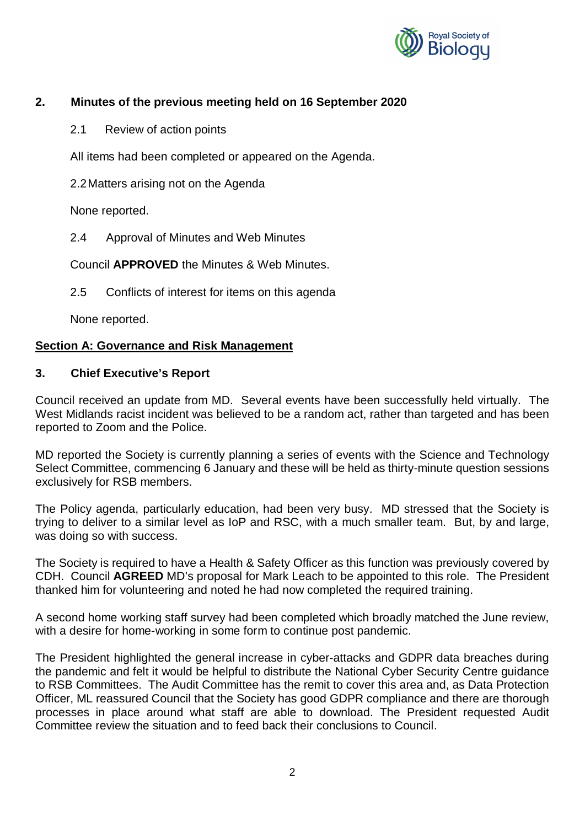

# **2. Minutes of the previous meeting held on 16 September 2020**

2.1 Review of action points

All items had been completed or appeared on the Agenda.

2.2 Matters arising not on the Agenda

None reported.

2.4 Approval of Minutes and Web Minutes

Council **APPROVED** the Minutes & Web Minutes.

2.5 Conflicts of interest for items on this agenda

None reported.

#### **Section A: Governance and Risk Management**

#### **3. Chief Executive's Report**

Council received an update from MD. Several events have been successfully held virtually. The West Midlands racist incident was believed to be a random act, rather than targeted and has been reported to Zoom and the Police.

MD reported the Society is currently planning a series of events with the Science and Technology Select Committee, commencing 6 January and these will be held as thirty-minute question sessions exclusively for RSB members.

The Policy agenda, particularly education, had been very busy. MD stressed that the Society is trying to deliver to a similar level as IoP and RSC, with a much smaller team. But, by and large, was doing so with success.

The Society is required to have a Health & Safety Officer as this function was previously covered by CDH. Council **AGREED** MD's proposal for Mark Leach to be appointed to this role. The President thanked him for volunteering and noted he had now completed the required training.

A second home working staff survey had been completed which broadly matched the June review, with a desire for home-working in some form to continue post pandemic.

The President highlighted the general increase in cyber-attacks and GDPR data breaches during the pandemic and felt it would be helpful to distribute the National Cyber Security Centre guidance to RSB Committees. The Audit Committee has the remit to cover this area and, as Data Protection Officer, ML reassured Council that the Society has good GDPR compliance and there are thorough processes in place around what staff are able to download. The President requested Audit Committee review the situation and to feed back their conclusions to Council.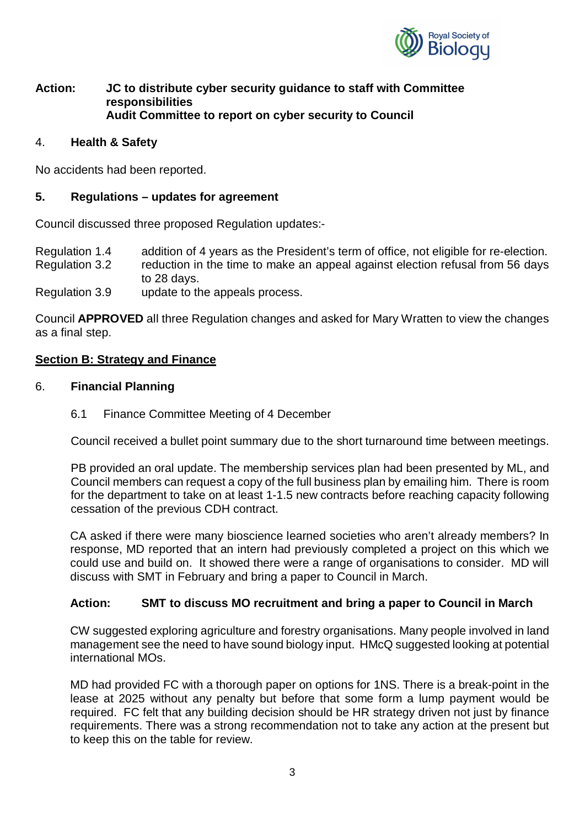

# **Action: JC to distribute cyber security guidance to staff with Committee responsibilities Audit Committee to report on cyber security to Council**

#### 4. **Health & Safety**

No accidents had been reported.

#### **5. Regulations – updates for agreement**

Council discussed three proposed Regulation updates:-

Regulation 1.4 addition of 4 years as the President's term of office, not eligible for re-election. Regulation 3.2 reduction in the time to make an appeal against election refusal from 56 days to 28 days.

Regulation 3.9 update to the appeals process.

Council **APPROVED** all three Regulation changes and asked for Mary Wratten to view the changes as a final step.

## **Section B: Strategy and Finance**

- 6. **Financial Planning**
	- 6.1 Finance Committee Meeting of 4 December

Council received a bullet point summary due to the short turnaround time between meetings.

PB provided an oral update. The membership services plan had been presented by ML, and Council members can request a copy of the full business plan by emailing him. There is room for the department to take on at least 1-1.5 new contracts before reaching capacity following cessation of the previous CDH contract.

CA asked if there were many bioscience learned societies who aren't already members? In response, MD reported that an intern had previously completed a project on this which we could use and build on. It showed there were a range of organisations to consider. MD will discuss with SMT in February and bring a paper to Council in March.

## **Action: SMT to discuss MO recruitment and bring a paper to Council in March**

CW suggested exploring agriculture and forestry organisations. Many people involved in land management see the need to have sound biology input. HMcQ suggested looking at potential international MOs.

MD had provided FC with a thorough paper on options for 1NS. There is a break-point in the lease at 2025 without any penalty but before that some form a lump payment would be required. FC felt that any building decision should be HR strategy driven not just by finance requirements. There was a strong recommendation not to take any action at the present but to keep this on the table for review.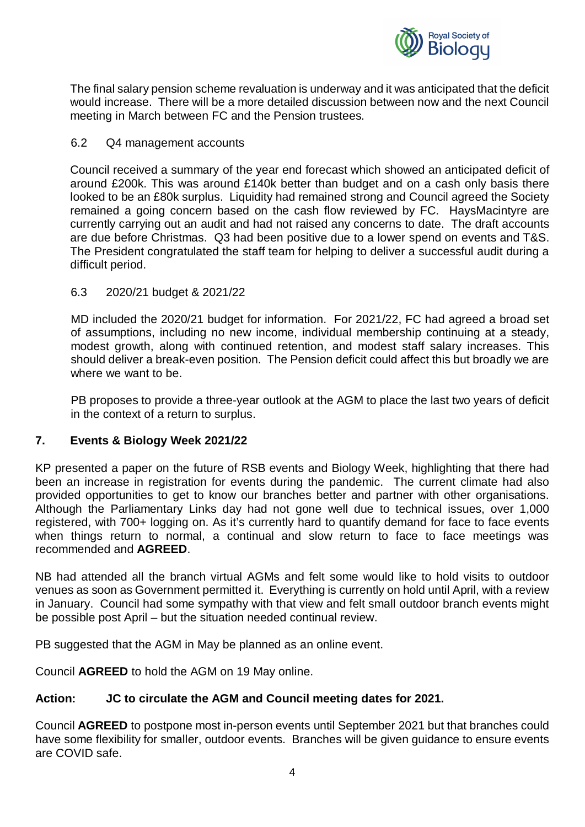

The final salary pension scheme revaluation is underway and it was anticipated that the deficit would increase. There will be a more detailed discussion between now and the next Council meeting in March between FC and the Pension trustees.

# 6.2 Q4 management accounts

Council received a summary of the year end forecast which showed an anticipated deficit of around £200k. This was around £140k better than budget and on a cash only basis there looked to be an £80k surplus. Liquidity had remained strong and Council agreed the Society remained a going concern based on the cash flow reviewed by FC. HaysMacintyre are currently carrying out an audit and had not raised any concerns to date. The draft accounts are due before Christmas. Q3 had been positive due to a lower spend on events and T&S. The President congratulated the staff team for helping to deliver a successful audit during a difficult period.

# 6.3 2020/21 budget & 2021/22

MD included the 2020/21 budget for information. For 2021/22, FC had agreed a broad set of assumptions, including no new income, individual membership continuing at a steady, modest growth, along with continued retention, and modest staff salary increases. This should deliver a break-even position. The Pension deficit could affect this but broadly we are where we want to be.

PB proposes to provide a three-year outlook at the AGM to place the last two years of deficit in the context of a return to surplus.

# **7. Events & Biology Week 2021/22**

KP presented a paper on the future of RSB events and Biology Week, highlighting that there had been an increase in registration for events during the pandemic. The current climate had also provided opportunities to get to know our branches better and partner with other organisations. Although the Parliamentary Links day had not gone well due to technical issues, over 1,000 registered, with 700+ logging on. As it's currently hard to quantify demand for face to face events when things return to normal, a continual and slow return to face to face meetings was recommended and **AGREED**.

NB had attended all the branch virtual AGMs and felt some would like to hold visits to outdoor venues as soon as Government permitted it. Everything is currently on hold until April, with a review in January. Council had some sympathy with that view and felt small outdoor branch events might be possible post April – but the situation needed continual review.

PB suggested that the AGM in May be planned as an online event.

Council **AGREED** to hold the AGM on 19 May online.

## **Action: JC to circulate the AGM and Council meeting dates for 2021.**

Council **AGREED** to postpone most in-person events until September 2021 but that branches could have some flexibility for smaller, outdoor events. Branches will be given guidance to ensure events are COVID safe.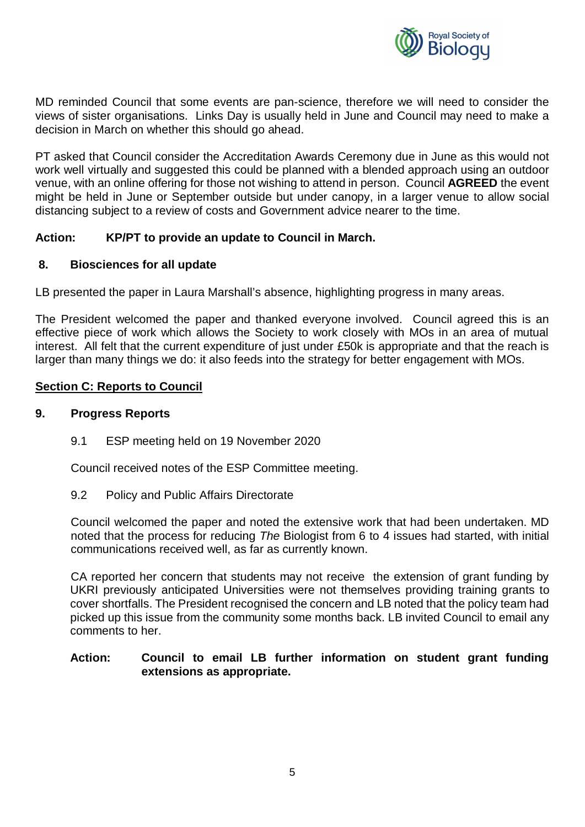

MD reminded Council that some events are pan-science, therefore we will need to consider the views of sister organisations. Links Day is usually held in June and Council may need to make a decision in March on whether this should go ahead.

PT asked that Council consider the Accreditation Awards Ceremony due in June as this would not work well virtually and suggested this could be planned with a blended approach using an outdoor venue, with an online offering for those not wishing to attend in person. Council **AGREED** the event might be held in June or September outside but under canopy, in a larger venue to allow social distancing subject to a review of costs and Government advice nearer to the time.

# **Action: KP/PT to provide an update to Council in March.**

# **8. Biosciences for all update**

LB presented the paper in Laura Marshall's absence, highlighting progress in many areas.

The President welcomed the paper and thanked everyone involved. Council agreed this is an effective piece of work which allows the Society to work closely with MOs in an area of mutual interest. All felt that the current expenditure of just under £50k is appropriate and that the reach is larger than many things we do: it also feeds into the strategy for better engagement with MOs.

# **Section C: Reports to Council**

#### **9. Progress Reports**

9.1 ESP meeting held on 19 November 2020

Council received notes of the ESP Committee meeting.

9.2 Policy and Public Affairs Directorate

Council welcomed the paper and noted the extensive work that had been undertaken. MD noted that the process for reducing *The* Biologist from 6 to 4 issues had started, with initial communications received well, as far as currently known.

CA reported her concern that students may not receive the extension of grant funding by UKRI previously anticipated Universities were not themselves providing training grants to cover shortfalls. The President recognised the concern and LB noted that the policy team had picked up this issue from the community some months back. LB invited Council to email any comments to her.

#### **Action: Council to email LB further information on student grant funding extensions as appropriate.**